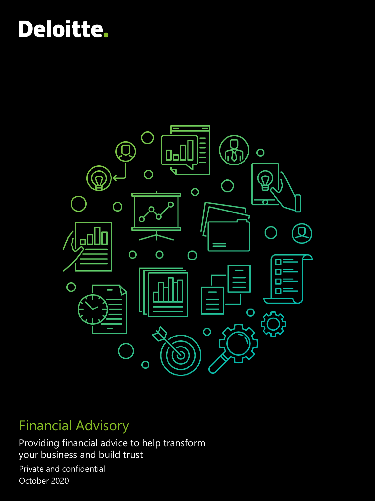# **Deloitte.**



## Financial Advisory

Private and confidential October 2020 Providing financial advice to help transform your business and build trust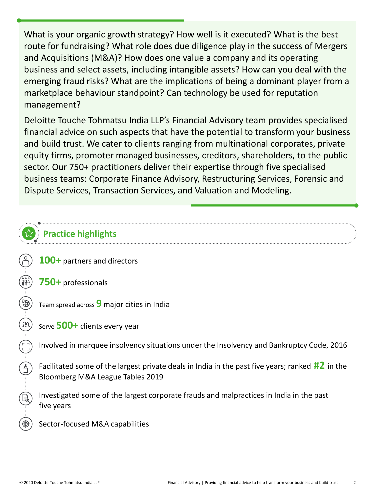What is your organic growth strategy? How well is it executed? What is the best route for fundraising? What role does due diligence play in the success of Mergers and Acquisitions (M&A)? How does one value a company and its operating business and select assets, including intangible assets? How can you deal with the emerging fraud risks? What are the implications of being a dominant player from a marketplace behaviour standpoint? Can technology be used for reputation management?

Deloitte Touche Tohmatsu India LLP's Financial Advisory team provides specialised financial advice on such aspects that have the potential to transform your business and build trust. We cater to clients ranging from multinational corporates, private equity firms, promoter managed businesses, creditors, shareholders, to the public sector. Our 750+ practitioners deliver their expertise through five specialised business teams: Corporate Finance Advisory, Restructuring Services, Forensic and Dispute Services, Transaction Services, and Valuation and Modeling.

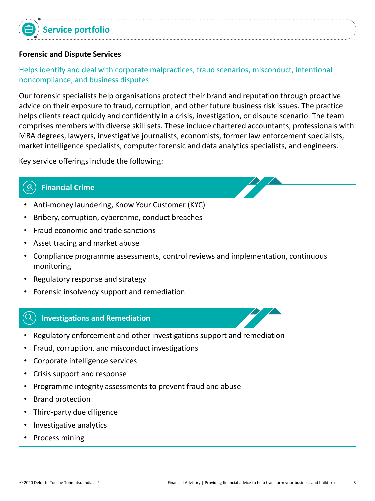## **Forensic and Dispute Services**

## Helps identify and deal with corporate malpractices, fraud scenarios, misconduct, intentional noncompliance, and business disputes

Our forensic specialists help organisations protect their brand and reputation through proactive advice on their exposure to fraud, corruption, and other future business risk issues. The practice helps clients react quickly and confidently in a crisis, investigation, or dispute scenario. The team comprises members with diverse skill sets. These include chartered accountants, professionals with MBA degrees, lawyers, investigative journalists, economists, former law enforcement specialists, market intelligence specialists, computer forensic and data analytics specialists, and engineers.

Key service offerings include the following:

#### ≪ **Financial Crime**

- Anti-money laundering, Know Your Customer (KYC)
- Bribery, corruption, cybercrime, conduct breaches
- Fraud economic and trade sanctions
- Asset tracing and market abuse
- Compliance programme assessments, control reviews and implementation, continuous monitoring
- Regulatory response and strategy
- Forensic insolvency support and remediation

#### ′Q` **Investigations and Remediation**

- Regulatory enforcement and other investigations support and remediation
- Fraud, corruption, and misconduct investigations
- Corporate intelligence services
- Crisis support and response
- Programme integrity assessments to prevent fraud and abuse
- Brand protection
- Third-party due diligence
- Investigative analytics
- Process mining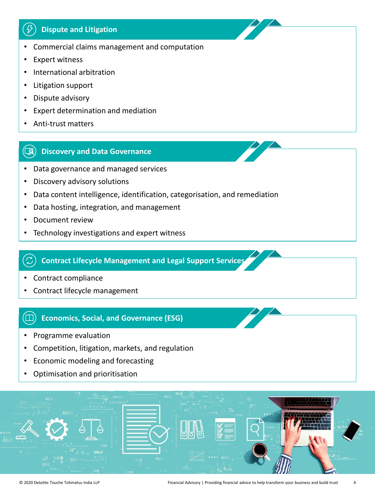#### $\mathcal{B}$ **Dispute and Litigation**

- Commercial claims management and computation
- Expert witness
- International arbitration
- Litigation support
- Dispute advisory
- Expert determination and mediation
- Anti-trust matters

#### $\Box$ **Discovery and Data Governance**

- Data governance and managed services
- Discovery advisory solutions
- Data content intelligence, identification, categorisation, and remediation
- Data hosting, integration, and management
- Document review
- Technology investigations and expert witness

## **Contract Lifecycle Management and Legal Support Services**

- Contract compliance
- Contract lifecycle management

#### $\bf{(m)}$ **Economics, Social, and Governance (ESG)**

- Programme evaluation
- Competition, litigation, markets, and regulation
- Economic modeling and forecasting
- Optimisation and prioritisation

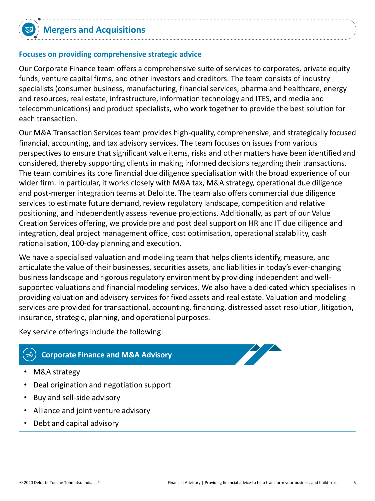## **Focuses on providing comprehensive strategic advice**

Our Corporate Finance team offers a comprehensive suite of services to corporates, private equity funds, venture capital firms, and other investors and creditors. The team consists of industry specialists (consumer business, manufacturing, financial services, pharma and healthcare, energy and resources, real estate, infrastructure, information technology and ITES, and media and telecommunications) and product specialists, who work together to provide the best solution for each transaction.

Our M&A Transaction Services team provides high-quality, comprehensive, and strategically focused financial, accounting, and tax advisory services. The team focuses on issues from various perspectives to ensure that significant value items, risks and other matters have been identified and considered, thereby supporting clients in making informed decisions regarding their transactions. The team combines its core financial due diligence specialisation with the broad experience of our wider firm. In particular, it works closely with M&A tax, M&A strategy, operational due diligence and post-merger integration teams at Deloitte. The team also offers commercial due diligence services to estimate future demand, review regulatory landscape, competition and relative positioning, and independently assess revenue projections. Additionally, as part of our Value Creation Services offering, we provide pre and post deal support on HR and IT due diligence and integration, deal project management office, cost optimisation, operational scalability, cash rationalisation, 100-day planning and execution.

We have a specialised valuation and modeling team that helps clients identify, measure, and articulate the value of their businesses, securities assets, and liabilities in today's ever-changing business landscape and rigorous regulatory environment by providing independent and wellsupported valuations and financial modeling services. We also have a dedicated which specialises in providing valuation and advisory services for fixed assets and real estate. Valuation and modeling services are provided for transactional, accounting, financing, distressed asset resolution, litigation, insurance, strategic, planning, and operational purposes.

Key service offerings include the following:

#### 喝 **Corporate Finance and M&A Advisory**

- M&A strategy
- Deal origination and negotiation support
- Buy and sell-side advisory
- Alliance and joint venture advisory
- Debt and capital advisory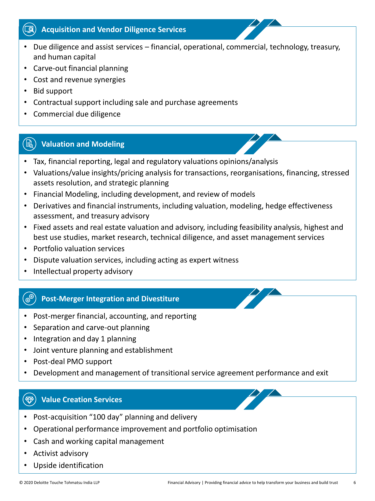#### **Acquisition and Vendor Diligence Services**  $\left( \begin{matrix} \boxed{\mathbf{Q}} \end{matrix} \right)$

- Due diligence and assist services financial, operational, commercial, technology, treasury, and human capital
- Carve-out financial planning
- Cost and revenue synergies
- Bid support
- Contractual support including sale and purchase agreements
- Commercial due diligence

#### 〔1〕 **Valuation and Modeling**

- Tax, financial reporting, legal and regulatory valuations opinions/analysis
- Valuations/value insights/pricing analysis for transactions, reorganisations, financing, stressed assets resolution, and strategic planning
- Financial Modeling, including development, and review of models
- Derivatives and financial instruments, including valuation, modeling, hedge effectiveness assessment, and treasury advisory
- Fixed assets and real estate valuation and advisory, including feasibility analysis, highest and best use studies, market research, technical diligence, and asset management services
- Portfolio valuation services
- Dispute valuation services, including acting as expert witness
- Intellectual property advisory

#### ි.<br>මි **Post-Merger Integration and Divestiture**

- Post-merger financial, accounting, and reporting
- Separation and carve-out planning
- Integration and day 1 planning
- Joint venture planning and establishment
- Post-deal PMO support
- Development and management of transitional service agreement performance and exit

#### **Value Creation Services** $\left(\bigoplus\right)$

- Post-acquisition "100 day" planning and delivery
- Operational performance improvement and portfolio optimisation
- Cash and working capital management
- Activist advisory
- Upside identification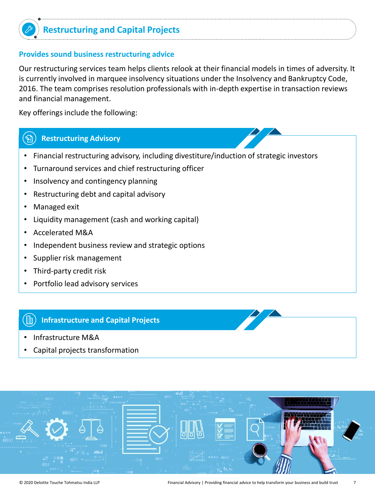

## **Restructuring and Capital Projects**

## **Provides sound business restructuring advice**

Our restructuring services team helps clients relook at their financial models in times of adversity. It is currently involved in marquee insolvency situations under the Insolvency and Bankruptcy Code, 2016. The team comprises resolution professionals with in-depth expertise in transaction reviews and financial management.

Key offerings include the following:

#### **Restructuring Advisory**  $\mathbb{Z}$

- Financial restructuring advisory, including divestiture/induction of strategic investors
- Turnaround services and chief restructuring officer
- Insolvency and contingency planning
- Restructuring debt and capital advisory
- Managed exit
- Liquidity management (cash and working capital)
- Accelerated M&A
- Independent business review and strategic options
- Supplier risk management
- Third-party credit risk
- Portfolio lead advisory services

## **Infrastructure and Capital Projects**

- Infrastructure M&A
- Capital projects transformation